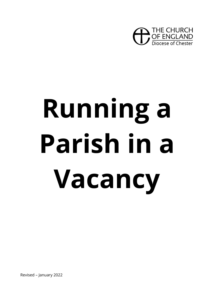

# **Running a Parish in a Vacancy**

Revised – January 2022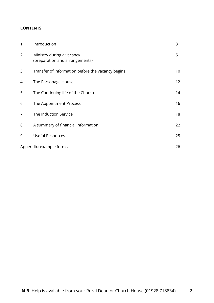# **CONTENTS**

| 1: | Introduction                                                | 3  |
|----|-------------------------------------------------------------|----|
| 2: | Ministry during a vacancy<br>(preparation and arrangements) | 5  |
| 3: | Transfer of information before the vacancy begins           | 10 |
| 4: | The Parsonage House                                         | 12 |
| 5: | The Continuing life of the Church                           | 14 |
| 6: | The Appointment Process                                     | 16 |
| 7: | The Induction Service                                       | 18 |
| 8: | A summary of financial information                          | 22 |
| 9: | <b>Useful Resources</b>                                     | 25 |
|    | Appendix: example forms                                     | 26 |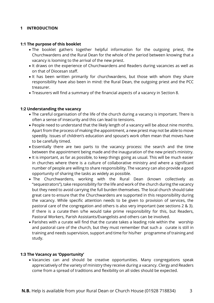## **1 INTRODUCTION**

#### **1:1 The purpose of this booklet**

- The booklet gathers together helpful information for the outgoing priest, the Churchwardens and the Rural Dean for the whole of the period between knowing that a vacancy is looming to the arrival of the new priest.
- It draws on the experience of Churchwardens and Readers during vacancies as well as on that of Diocesan staff.
- It has been written primarily for churchwardens, but those with whom they share responsibility have also been in mind: the Rural Dean, the outgoing priest and the PCC treasurer.
- Treasurers will find a summary of the financial aspects of a vacancy in Section 8.

#### **1:2 Understanding the vacancy**

- The careful organisation of the life of the church during a vacancy is important. There is often a sense of insecurity and this can lead to tensions.
- People need to understand that the likely length of a vacancy will be about nine months. Apart from the process of making the appointment, a new priest may not be able to move speedily. Issues of children's education and spouse's work often mean that moves have to be carefully timed.
- Essentially there are two parts to the vacancy process: the search and the time between the appointment being made and the inauguration of the new priest's ministry.
- It is important, as far as possible, to keep things going as usual. This will be much easier in churches where there is a culture of collaborative ministry and where a significant number of people are willing to share responsibility. The vacancy can also provide a good opportunity of sharing the tasks as widely as possible.
- The Churchwardens, working with the Rural Dean (known collectively as "sequestrators"), take responsibility for the life and work of the church during the vacancy but they need to avoid carrying the full burden themselves. The local church should take great care to ensure that the Churchwardens are supported in this responsibility during the vacancy. While specific attention needs to be given to provision of services, the pastoral care of the congregation and others is also very important (see sections 2 & 3). If there is a curate then s/he would take prime responsibility for this, but Readers, Pastoral Workers, Parish Assistants/Evangelists and others can be involved.
- Parishes with a curate will find that the curate takes a leading role within the worship and pastoral care of the church, but they must remember that such a curate is still in training and needs supervision, support and time for his/her programme of training and study.

#### **1:3 The Vacancy as 'Opportunity'**

• Vacancies can and should be creative opportunities. Many congregations speak appreciatively of the variety of ministry they receive during a vacancy. Clergy and Readers come from a spread of traditions and flexibility on all sides should be expected.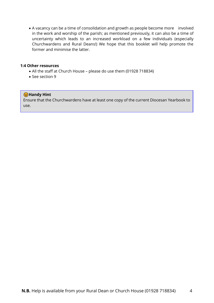• A vacancy can be a time of consolidation and growth as people become more involved in the work and worship of the parish; as mentioned previously, it can also be a time of uncertainty which leads to an increased workload on a few individuals (especially Churchwardens and Rural Deans!) We hope that this booklet will help promote the former and minimise the latter.

#### **1:4 Other resources**

- All the staff at Church House please do use them (01928 718834)
- See section 9

#### **G** Handy Hint

Ensure that the Churchwardens have at least one copy of the current Diocesan Yearbook to use.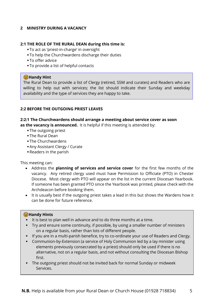# **2 MINISTRY DURING A VACANCY**

## **2:1 THE ROLE OF THE RURAL DEAN during this time is:**

- To act as 'priest-in-charge' in oversight
- To help the Churchwardens discharge their duties
- To offer advice
- To provide a list of helpful contacts

## **G** Handy Hint

The Rural Dean to provide a list of Clergy (retired, SSM and curates) and Readers who are willing to help out with services; the list should indicate their Sunday and weekday availability and the type of services they are happy to take.

## **2:2 BEFORE THE OUTGOING PRIEST LEAVES**

#### **2:2:1 The Churchwardens should arrange a meeting about service cover as soon**

**as the vacancy is announced.** It is helpful if this meeting is attended by:

- The outgoing priest
- The Rural Dean
- The Churchwardens
- Any Assistant Clergy / Curate
- Readers in the parish

This meeting can:

- Address the **planning of services and service cover** for the first few months of the vacancy. Any retired clergy used must have Permission to Officiate (PTO) in Chester Diocese. Most clergy with PTO will appear on the list in the current Diocesan Yearbook. If someone has been granted PTO since the Yearbook was printed, please check with the Archdeacon before booking them.
- It is usually best if the outgoing priest takes a lead in this but shows the Wardens how it can be done for future reference.

#### **G** Handy Hints

- $\cdot$  It is best to plan well in advance and to do three months at a time.
- Try and ensure some continuity, if possible, by using a smaller number of ministers on a regular basis, rather than lots of different people.
- If you are in a multi-parish benefice, try to co-ordinate your use of Readers and Clergy.
- Communion-by-Extension (a service of Holy Communion led by a lay minister using elements previously consecrated by a priest) should only be used if there is no alternative, not on a regular basis, and not without consulting the Diocesan Bishop first.
- The outgoing priest should not be invited back for normal Sunday or midweek Services.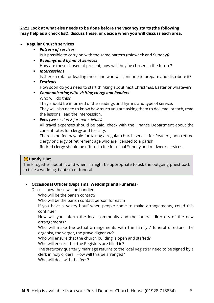**2:2:2 Look at what else needs to be done before the vacancy starts (the following may help as a check list), discuss these, or decide when you will discuss each area.**

## • **Regular Church services**

▪ *Pattern of services*

Is it possible to carry on with the same pattern (midweek and Sunday)?

▪ **R***eadings and hymn at services*

How are these chosen at present, how will they be chosen in the future?

- *Intercessions* Is there a rota for leading these and who will continue to prepare and distribute it?
- *Festivals*

How soon do you need to start thinking about next Christmas, Easter or whatever?

▪ *Communicating with visiting clergy and Readers* Who will do this?

They should be informed of the readings and hymns and type of service.

They will also need to know how much you are asking them to do: lead, preach, read the lessons, lead the intercession.

▪ *Fees (see section 8 for more details)*  All travel expenses should be paid; check with the Finance Department about the current rates for clergy and for laity.

There is no fee payable for taking a regular church service for Readers, non-retired clergy or clergy of retirement age who are licensed to a parish.

Retired clergy should be offered a fee for usual Sunday and midweek services.

# **G** Handy Hint

Think together about if, and when, it might be appropriate to ask the outgoing priest back to take a wedding, baptism or funeral.

# • **Occasional Offices (Baptisms, Weddings and Funerals)**

Discuss how these will be handled.

- Who will be the parish contact?
- Who will be the parish contact person for each?

If you have a 'vestry hour' when people come to make arrangements, could this continue?

How will you inform the local community and the funeral directors of the new arrangements?

Who will make the actual arrangements with the family / funeral directors, the organist, the verger, the grave digger *etc*?

Who will ensure that the church building is open and staffed?

Who will ensure that the Registers are filled in?

The statutory quarterly marriage returns to the local Registrar need to be signed by a clerk in holy orders. How will this be arranged?

Who will deal with the fees?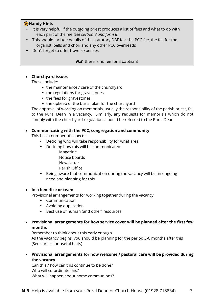# **G** Handy Hints

- It is very helpful if the outgoing priest produces a list of fees and what to do with each part of the fee *(see section 8 and form B)*
- This should include details of the statutory DBF fee, the PCC fee, the fee for the organist, bells and choir and any other PCC overheads
- Don't forget to offer travel expenses

*N.B.* there is no fee for a baptism!

# • **Churchyard issues**

These include:

- $\bullet$  the maintenance / care of the churchyard
- $\bullet$  the regulations for gravestones
- the fees for gravestones
- $\bullet$  the upkeep of the burial plan for the churchyard

The approval of wording on memorials, usually the responsibility of the parish priest, fall to the Rural Dean in a vacancy. Similarly, any requests for memorials which do not comply with the churchyard regulations should be referred to the Rural Dean.

# • **Communicating with the PCC, congregation and community**

This has a number of aspects:

- Deciding who will take responsibility for what area
- Deciding how this will be communicated:
	- Magazine
	- Notice boards
	- Newsletter
	- Parish Office
- Being aware that communication during the vacancy will be an ongoing need and planning for this

# • **In a benefice or team**

Provisional arrangements for working together during the vacancy

- Communication
- Avoiding duplication
- Best use of human (and other) resources

# • **Provisional arrangements for how service cover will be planned after the first few months**

Remember to think about this early enough

As the vacancy begins, you should be planning for the period 3-6 months after this (See earlier for useful hints)

• **Provisional arrangements for how welcome / pastoral care will be provided during the vacancy**

Can this / how can this continue to be done? Who will co-ordinate this? What will happen about home communions?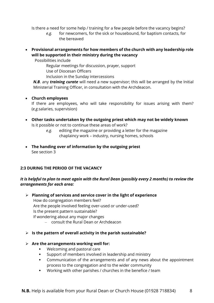Is there a need for some help / training for a few people before the vacancy begins?

- *e.g.* for newcomers, for the sick or housebound, for baptism contacts, for the bereaved
- **Provisional arrangements for how members of the church with any leadership role will be supported in their ministry during the vacancy**

Possibilities include

Regular meetings for discussion, prayer, support

Use of Diocesan Officers

Inclusion in the Sunday intercessions

*N.B*. any *training curate* will need a new supervisor; this will be arranged by the Initial Ministerial Training Officer, in consultation with the Archdeacon.

## • **Church employees**

If there are employees, who will take responsibility for issues arising with them? (*e.g.*salaries, supervision)

- **Other tasks undertaken by the outgoing priest which may not be widely known** Is it possible or not to continue these areas of work?
	- *e.g.* editing the magazine or providing a letter for the magazine chaplaincy work – industry, nursing homes, schools
- **The handing over of information by the outgoing priest** See section 3

# **2:3 DURING THE PERIOD OF THE VACANCY**

# *It is helpful to plan to meet again with the Rural Dean (possibly every 2 months) to review the arrangements for each area:*

- ➢ **Planning of services and service cover in the light of experience** How do congregation members feel? Are the people involved feeling over-used or under-used? Is the present pattern sustainable? If wondering about any major changes – consult the Rural Dean or Archdeacon
- ➢ **Is the pattern of overall activity in the parish sustainable?**

# ➢ **Are the arrangements working well for:**

- Welcoming and pastoral care
- Support of members involved in leadership and ministry
- Communication of the arrangements and of any news about the appointment process to the congregation and to the wider community
- Working with other parishes / churches in the benefice / team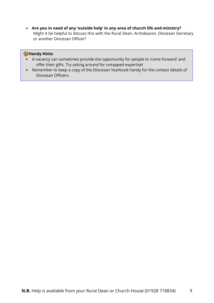➢ **Are you in need of any 'outside help' in any area of church life and ministry?** Might it be helpful to discuss this with the Rural Dean, Archdeacon, Diocesan Secretary or another Diocesan Officer?

## **G** Handy Hints

- A vacancy can sometimes provide the opportunity for people to 'come forward' and offer their gifts. Try asking around for untapped expertise!
- Remember to keep a copy of the Diocesan Yearbook handy for the contact details of Diocesan Officers.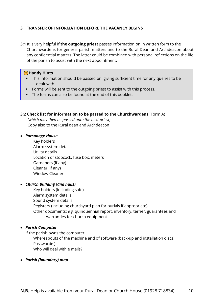## **3 TRANSFER OF INFORMATION BEFORE THE VACANCY BEGINS**

**3:1** It is very helpful if **the outgoing priest** passes information on in written form to the Churchwardens for general parish matters and to the Rural Dean and Archdeacon about any confidential matters. The latter could be combined with personal reflections on the life of the parish to assist with the next appointment.

## **G** Handy Hints

- This information should be passed on, giving sufficient time for any queries to be dealt with.
- Forms will be sent to the outgoing priest to assist with this process.
- The forms can also be found at the end of this booklet.

#### **3:2 Check list for information to be passed to the Churchwardens** (Form A)

*(which may then be passed onto the next priest)* Copy also to the Rural dean and Archdeacon

#### • *Parsonage House*

Key holders Alarm system details Utility details Location of stopcock, fuse box, meters Gardeners (if any) Cleaner (if any) Window Cleaner

#### • *Church Building (and halls)*

Key holders (including safe) Alarm system details Sound system details Registers (including churchyard plan for burials if appropriate) Other documents: *e.g.* quinquennial report, inventory, terrier, guarantees and warranties for church equipment

#### • *Parish Computer*

If the parish owns the computer:

Whereabouts of the machine and of software (back-up and installation discs) Password(s)

Who will deal with e mails?

#### • *Parish (boundary) map*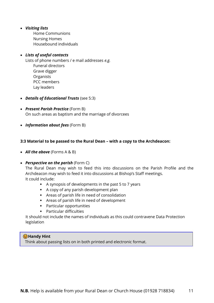## • *Visiting lists*

Home Communions Nursing Homes Housebound individuals

## • *Lists of useful contacts*

Lists of phone numbers / e mail addresses *e.g.*  Funeral directors Grave digger Organists PCC members Lay leaders

- *Details of Educational Trusts* (see 5:3)
- *Present Parish Practice* (Form B) On such areas as baptism and the marriage of divorcees
- *Information about fees* (Form B)

## **3:3 Material to be passed to the Rural Dean – with a copy to the Archdeacon:**

- *All the above* (Forms A & B)
- *Perspective on the parish* (Form C)

The Rural Dean may wish to feed this into discussions on the Parish Profile and the Archdeacon may wish to feed it into discussions at Bishop's Staff meetings. It could include:

- A synopsis of developments in the past 5 to 7 years
- A copy of any parish development plan
- Areas of parish life in need of consolidation
- Areas of parish life in need of development
- Particular opportunities
- Particular difficulties

 It should not include the names of individuals as this could contravene Data Protection legislation

## **G**Handy Hint

Think about passing lists on in both printed and electronic format.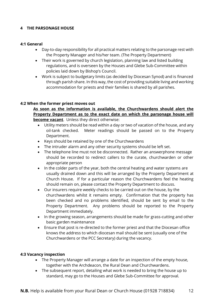## **4 THE PARSONAGE HOUSE**

#### **4:1 General**

- Day-to-day responsibility for all practical matters relating to the parsonage rest with the Property Manager and his/her team. (The Property Department)
- Their work is governed by church legislation, planning law and listed building regulations, and is overseen by the Houses and Glebe Sub-Committee within policies laid down by Bishop's Council.
- Work is subject to budgetary limits (as decided by Diocesan Synod) and is financed through parish share. In this way, the cost of providing suitable living and working accommodation for priests and their families is shared by all parishes.

#### **4:2 When the former priest moves out**

**As soon as the information is available, the Churchwardens should alert the Property Department as to the exact date on which the parsonage house will become vacant**. Unless they direct otherwise:

- Utility meters should be read within a day or two of vacation of the house, and any oil-tank checked. Meter readings should be passed on to the Property Department.
- Keys should be retained by one of the Churchwardens
- The intruder alarm and any other security systems should be left set.
- The telephone line must not be disconnected. Rather an answerphone message should be recorded to redirect callers to the curate, churchwarden or other appropriate person
- In the colder parts of the year, both the central heating and water systems are usually drained down and this will be arranged by the Property Department at Church House. If for a particular reason the Churchwardens feel the heating should remain on, please contact the Property Department to discuss.
- Our insurers require weekly checks to be carried out on the house, by the churchwardens whilst it remains empty. Confirmation that the property has been checked and no problems identified, should be sent by email to the Property Department. Any problems should be reported to the Property Department immediately.
- In the growing season, arrangements should be made for grass-cutting and other basic garden maintenance
- Ensure that post is re-directed to the former priest and that the Diocesan office knows the address to which diocesan mail should be sent (usually one of the Churchwardens or the PCC Secretary) during the vacancy.

#### **4:3 Vacancy inspection**

- The Property Manager will arrange a date for an inspection of the empty house, together with the Archdeacon, the Rural Dean and Churchwardens.
- The subsequent report, detailing what work is needed to bring the house up to standard, may go to the Houses and Glebe Sub-Committee for approval.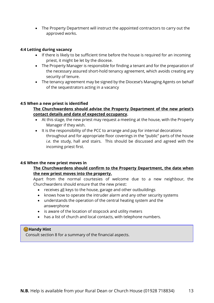• The Property Department will instruct the appointed contractors to carry out the approved works.

## **4:4 Letting during vacancy**

- If there is likely to be sufficient time before the house is required for an incoming priest, it might be let by the diocese.
- The Property Manager is responsible for finding a tenant and for the preparation of the necessary assured short-hold tenancy agreement, which avoids creating any security of tenure.
- The tenancy agreement may be signed by the Diocese's Managing Agents on behalf of the sequestrators acting in a vacancy

## **4:5 When a new priest is identified**

## **The Churchwardens should advise the Property Department of the new priest's contact details and date of expected occupancy.**

- At this stage, the new priest may request a meeting at the house, with the Property Manager if they wish.
- It is the responsibility of the PCC to arrange and pay for internal decorations throughout and for appropriate floor coverings in the "public" parts of the house *i.e*. the study, hall and stairs. This should be discussed and agreed with the incoming priest first.

#### **4:6 When the new priest moves in**

# **The Churchwardens should confirm to the Property Department, the date when the new priest moves into the property.**

Apart from the normal courtesies of welcome due to a new neighbour, the Churchwardens should ensure that the new priest:

- receives all keys to the house, garage and other outbuildings
- knows how to operate the intruder alarm and any other security systems
- understands the operation of the central heating system and the answerphone
- is aware of the location of stopcock and utility meters
- has a list of church and local contacts, with telephone numbers.

## **G**Handy Hint

Consult section 8 for a summary of the financial aspects.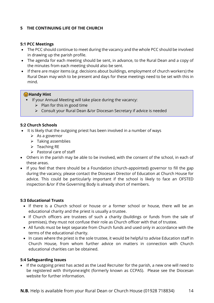# **5 THE CONTINUING LIFE OF THE CHURCH**

#### **5:1 PCC Meetings**

- The PCC should continue to meet during the vacancy and the whole PCC should be involved in drawing up the parish profile.
- The agenda for each meeting should be sent, in advance, to the Rural Dean and a copy of the minutes from each meeting should also be sent.
- If there are major items (*e.g.* decisions about buildings, employment of church workers) the Rural Dean may wish to be present and days for these meetings need to be set with this in mind.

#### **G**Handy Hint

- If your Annual Meeting will take place during the vacancy:
	- $\triangleright$  Plan for this in good time
	- ➢ Consult your Rural Dean &/or Diocesan Secretary if advice is needed

#### **5:2 Church Schools**

- It is likely that the outgoing priest has been involved in a number of ways
	- $\triangleright$  As a governor
	- ➢ Taking assemblies
	- $\triangleright$  Teaching RE
	- $\triangleright$  Pastoral care of staff
- Others in the parish may be able to be involved, with the consent of the school, in each of these areas.
- If you feel that there should be a Foundation (church-appointed) governor to fill the gap during the vacancy, please contact the Diocesan Director of Education at Church House for advice. This could be particularly important if the school is likely to face an OFSTED inspection &/or if the Governing Body is already short of members.

#### **5:3 Educational Trusts**

- If there is a Church school or house or a former school or house, there will be an educational charity and the priest is usually a trustee.
- If Church officers are trustees of such a charity (buildings or funds from the sale of premises), they must not confuse their role as Church officer with that of trustee.
- All funds must be kept separate from Church funds and used only in accordance with the terms of the educational charity.
- In cases where the priest is the sole trustee, it would be helpful to advise Education staff in Church House, from whom further advice on matters in connection with Church educational charities can be obtained.

#### **5:4 Safeguarding Issues**

• If the outgoing priest has acted as the Lead Recruiter for the parish, a new one will need to be registered with thirtyone:eight (formerly known as CCPAS). Please see the Diocesan website for further information.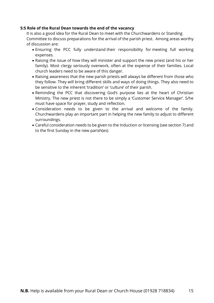## **5:5 Role of the Rural Dean towards the end of the vacancy**

It is also a good idea for the Rural Dean to meet with the Churchwardens or Standing Committee to discuss preparations for the arrival of the parish priest. Among areas worthy of discussion are:

- Ensuring the PCC fully understand their responsibility for meeting full working expenses.
- Raising the issue of how they will minister and support the new priest (and his or her family). Most clergy seriously overwork, often at the expense of their families. Local church leaders need to be aware of this danger.
- Raising awareness that the new parish priests will always be different from those who they follow. They will bring different skills and ways of doing things. They also need to be sensitive to the inherent 'tradition' or 'culture' of their parish.
- Reminding the PCC that discovering God's purpose lies at the heart of Christian Ministry. The new priest is not there to be simply a 'Customer Service Manager'. S/he must have space for prayer, study and reflection.
- Consideration needs to be given to the arrival and welcome of the family. Churchwardens play an important part in helping the new family to adjust to different surroundings.
- Careful consideration needs to be given to the Induction or licensing (see section 7) and to the first Sunday in the new parish(es)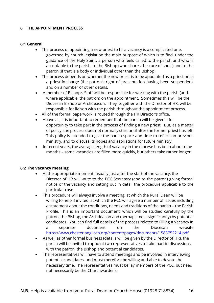## **6 THE APPOINTMENT PROCESS**

#### **6:1 General**

- The process of appointing a new priest to fill a vacancy is a complicated one, governed by church legislation the main purpose of which is to find, under the guidance of the Holy Spirit, a person who feels called to the parish and who is acceptable to the parish, to the Bishop (who shares the cure of souls) and to the patron (if that is a body or individual other than the Bishop).
- The process depends on whether the new priest is to be appointed as a priest or as a priest-in-charge (the patron's right of presentation having been suspended), and on a number of other details.
- A member of Bishop's Staff will be responsible for working with the parish (and, where applicable, the patron) on the appointment. Sometimes this will be the Diocesan Bishop or Archdeacon. They, together with the Director of HR, will be responsible for liaison with the parish throughout the appointment process.
- All of the formal paperwork is routed through the HR Director's office.
- Above all, it is important to remember that the parish will be given a full opportunity to take part in the process of finding a new priest. But, as a matter of policy, the process does not normally start until after the former priest has left. This policy is intended to give the parish space and time to reflect on previous ministry, and to discuss its hopes and aspirations for future ministry.
- In recent years, the average length of vacancy in the diocese has been about nine months – some vacancies are filled more quickly, but others take rather longer.

#### **6:2 The vacancy meeting**

- At the appropriate moment, usually just after the start of the vacancy, the Director of HR will write to the PCC Secretary (and to the patron) giving formal notice of the vacancy and setting out in detail the procedure applicable to the particular case.
- This procedure will always involve a meeting, at which the Rural Dean will be willing to help if invited, at which the PCC will agree a number of issues including a statement about the conditions, needs and traditions of the parish – the Parish Profile. This is an important document, which will be studied carefully by the patron, the Bishop, the Archdeacon and (perhaps most significantly) by potential candidates. You can find full details of the process related to Filling a Vacancy in a separate document on the Diocesan website <https://www.chester.anglican.org/content/pages/documents/1583752214.pdf>
- As well as other formal business (details will be given by the Director of HR), the parish will be invited to appoint two representatives to take part in discussions with the patron, the Bishop and potential candidates.
- The representatives will have to attend meetings and be involved in interviewing potential candidates, and must therefore be willing and able to devote the necessary time. The representatives must be lay members of the PCC, but need not necessarily be the Churchwardens.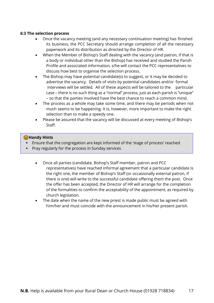#### **6:3 The selection process**

- Once the vacancy meeting (and any necessary continuation meeting) has finished its business, the PCC Secretary should arrange completion of all the necessary paperwork and its distribution as directed by the Director of HR.
- When the Member of Bishop's Staff dealing with the vacancy (and patron, if that is a body or individual other than the Bishop) has received and studied the Parish Profile and associated information, s/he will contact the PCC representatives to discuss how best to organise the selection process.
- The Bishop may have potential candidate(s) to suggest, or it may be decided to advertise the vacancy. Details of visits by potential candidates and/or formal interviews will be settled. All of these aspects will be tailored to the particular case – there is no such thing as a "normal" process, just as each parish is "unique" – so that the parties involved have the best chance to reach a common mind.
- The process as a whole may take some time, and there may be periods when not much seems to be happening. It is, however, more important to make the right selection than to make a speedy one.
- Please be assured that the vacancy will be discussed at every meeting of Bishop's Staff.

## **G** Handy Hints

- Ensure that the congregation are kept informed of the 'stage of process' reached
- Pray regularly for the process in Sunday services
	- Once all parties (candidate, Bishop's Staff member, patron and PCC representatives) have reached informal agreement that a particular candidate is the right one, the member of Bishop's Staff (or occasionally external patron, if there is one) will write to the successful candidate offering them the post. Once the offer has been accepted, the Director of HR will arrange for the completion of the formalities to confirm the acceptability of the appointment, as required by church legislation.
	- The date when the name of the new priest is made public must be agreed with him/her and must coincide with the announcement in his/her present parish.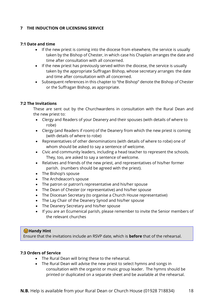## **7 THE INDUCTION OR LICENSING SERVICE**

#### **7:1 Date and time**

- If the new priest is coming into the diocese from elsewhere, the service is usually taken by the Bishop of Chester, in which case his Chaplain arranges the date and time after consultation with all concerned.
- If the new priest has previously served within the diocese, the service is usually taken by the appropriate Suffragan Bishop, whose secretary arranges the date and time after consultation with all concerned.
- Subsequent references in this chapter to "the Bishop" denote the Bishop of Chester or the Suffragan Bishop, as appropriate.

#### **7:2 The Invitations**

These are sent out by the Churchwardens in consultation with the Rural Dean and the new priest to:

- Clergy and Readers of your Deanery and their spouses (with details of where to robe)
- Clergy (and Readers if room) of the Deanery from which the new priest is coming (with details of where to robe)
- Representatives of other denominations (with details of where to robe) one of whom should be asked to say a sentence of welcome.
- Civic and community leaders, including a head teacher to represent the schools. They, too, are asked to say a sentence of welcome.
- Relatives and friends of the new priest, and representatives of his/her former parish. (numbers should be agreed with the priest).
- The Bishop's spouse
- The Archdeacon's spouse
- The patron or patron's representative and his/her spouse
- The Dean of Chester (or representative) and his/her spouse
- The Diocesan Secretary (to organise a Church House representative)
- The Lay Chair of the Deanery Synod and his/her spouse
- The Deanery Secretary and his/her spouse
- If you are an Ecumenical parish, please remember to invite the Senior members of the relevant churches

# **G** Handy Hint

Ensure that the invitations include an RSVP date, which is **before** that of the rehearsal.

#### **7:3 Orders of Service**

- The Rural Dean will bring these to the rehearsal.
- The Rural Dean will advise the new priest to select hymns and songs in consultation with the organist or music group leader. The hymns should be printed or duplicated on a separate sheet and be available at the rehearsal.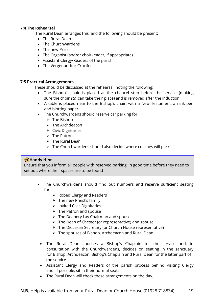#### **7:4 The Rehearsal**

The Rural Dean arranges this, and the following should be present:

- The Rural Dean
- The Churchwardens
- The new Priest
- The Organist (and/or choir-leader, if appropriate)
- Assistant Clergy/Readers of the parish
- The Verger and/or Crucifer

#### **7:5 Practical Arrangements**

These should be discussed at the rehearsal, noting the following:

- The Bishop's chair is placed at the chancel step before the service (making sure the choir *etc.* can take their place) and is removed after the induction.
- A table is placed near to the Bishop's chair, with a New Testament, an ink pen and blotting paper.
- The Churchwardens should reserve car parking for:
	- $\triangleright$  The Bishop
	- ➢ The Archdeacon
	- ➢ Civic Dignitaries
	- ➢ The Patron
	- $\triangleright$  The Rural Dean
	- $\triangleright$  The Churchwardens should also decide where coaches will park.

## **G**Handy Hint

Ensure that you inform all people with reserved parking, in good time before they need to set out, where their spaces are to be found

- The Churchwardens should find out numbers and reserve sufficient seating for:
	- ➢ Robed Clergy and Readers
	- $\triangleright$  The new Priest's family
	- ➢ Invited Civic Dignitaries
	- $\triangleright$  The Patron and spouse
	- ➢ The Deanery Lay Chairman and spouse
	- ➢ The Dean of Chester (or representative) and spouse
	- ➢ The Diocesan Secretary (or Church House representative)
	- ➢ The spouses of Bishop, Archdeacon and Rural Dean.
	- The Rural Dean chooses a Bishop's Chaplain for the service and, in consultation with the Churchwardens, decides on seating in the sanctuary for Bishop, Archdeacon, Bishop's Chaplain and Rural Dean for the latter part of the service.
	- Assistant Clergy and Readers of the parish process behind visiting Clergy and, if possible, sit in their normal seats.
	- The Rural Dean will check these arrangements on the day.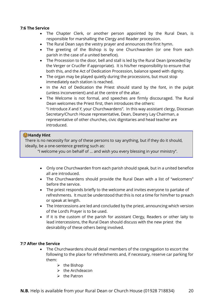## **7:6 The Service**

- The Chapter Clerk, or another person appointed by the Rural Dean, is responsible for marshalling the Clergy and Reader procession.
- The Rural Dean says the vestry prayer and announces the first hymn.
- The greeting of the Bishop is by one Churchwarden (or one from each parish in the case of a united benefice).
- The Procession to the door, bell and stall is led by the Rural Dean (preceded by the Verger or Crucifer if appropriate). It is his/her responsibility to ensure that both this, and the Act of Dedication Procession, balance speed with dignity.
- The organ may be played quietly during the processions, but must stop immediately each station is reached.
- In the Act of Dedication the Priest should stand by the font, in the pulpit (unless inconvenient) and at the centre of the altar.
- The Welcome is not formal, and speeches are firmly discouraged. The Rural Dean welcomes the Priest first, then introduces the others: "I introduce *X* and *Y*, your Churchwardens". In this way assistant clergy, Diocesan Secretary/Church House representative, Dean, Deanery Lay Chairman, a representative of other churches, civic dignitaries and head teacher are introduced.

# **G** Handy Hint

There is no necessity for any of these persons to say anything, but if they do it should, ideally, be a one-sentence greeting such as:

"I welcome you on behalf of … and wish you every blessing in your ministry".

- Only one Churchwarden from each parish should speak, but in a united benefice all are introduced.
- The Churchwardens should provide the Rural Dean with a list of "welcomers" before the service.
- The priest responds briefly to the welcome and invites everyone to partake of refreshments. It must be understood that this is not a time for him/her to preach or speak at length.
- The Intercessions are led and concluded by the priest, announcing which version of the Lord's Prayer is to be used.
- If it is the custom of the parish for assistant Clergy, Readers or other laity to lead intercessions, the Rural Dean should discuss with the new priest the desirability of these others being involved.

## **7:7 After the Service**

- The Churchwardens should detail members of the congregation to escort the following to the place for refreshments and, if necessary, reserve car parking for them:
	- $\triangleright$  the Bishop
	- $\triangleright$  the Archdeacon
	- ➢ the Patron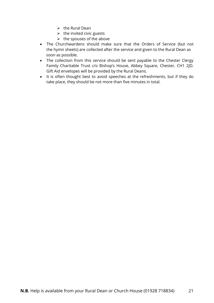- $\triangleright$  the Rural Dean
- $\triangleright$  the invited civic guests
- $\triangleright$  the spouses of the above
- The Churchwardens should make sure that the Orders of Service (but not the hymn sheets) are collected after the service and given to the Rural Dean as soon as possible.
- The collection from this service should be sent payable to the Chester Clergy Family Charitable Trust c/o Bishop's House, Abbey Square, Chester, CH1 2JD. Gift Aid envelopes will be provided by the Rural Deans.
- It is often thought best to avoid speeches at the refreshments, but if they do take place, they should be not more than five minutes in total.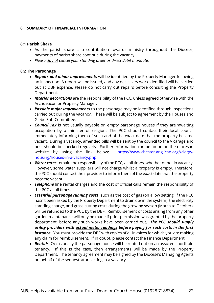## **8 SUMMARY OF FINANCIAL INFORMATION**

#### **8:1 Parish Share**

- As the parish share is a contribution towards ministry throughout the Diocese, payments of parish share continue during the vacancy.
- *Please do not cancel your standing order or direct debit mandate.*

#### **8:2 The Parsonage**

- *Repairs and minor improvements* will be identified by the Property Manager following an inspection. A report will be issued, and any necessary work identified will be carried out at DBF expense. Please do not carry out repairs before consulting the Property Department.
- *Interior decorations* are the responsibility of the PCC, unless agreed otherwise with the Archdeacon or Property Manager.
- *Possible major improvements* to the parsonage may be identified through inspections carried out during the vacancy. These will be subject to agreement by the Houses and Glebe Sub-Committee.
- *Council Tax* is not usually payable on empty parsonage houses if they are 'awaiting occupation by a minister of religion'. The PCC should contact their local council immediately informing them of such and of the exact date that the property became vacant. During a vacancy, amended bills will be sent by the council to the Vicarage and post should be checked regularly. Further information can be found on the diocesan website by using the link below: [https://www.chester.anglican.org//clergy](https://www.chester.anglican.org/clergy-housing/houses-in-a-vacancy.php)[housing/houses-in-a-vacancy.php](https://www.chester.anglican.org/clergy-housing/houses-in-a-vacancy.php)
- *Water rates* remain the responsibility of the PCC, at all times, whether or not in vacancy. However, some water suppliers will not charge whilst a property is empty. Therefore, the PCC should contact their provider to inform them of the exact date that the property became vacant.
- *Telephone* line rental charges and the cost of official calls remain the responsibility of the PCC at all times.
- *Essential parsonage running costs*, such as the cost of gas (on a low setting, if the PCC hasn't been asked by the Property Department to drain down the system), the electricity standing charge, and grass cutting costs during the growing season (March to October), will be refunded to the PCC by the DBF. Reimbursement of costs arising from any other garden maintenance will only be made if prior permission was granted by the property department, before any such works have been carried out. *The PCC should supply utility providers with actual meter readings before paying for such costs in the first instance*. You must provide the DBF with copies of all invoices for which you are making any claim for reimbursement. If in doubt, please contact the Finance Department.
- **Rentals**. Occasionally the parsonage house will be rented out on an assured shorthold tenancy. If this Is the case, then arrangements will be made by the Property Department. The tenancy agreement may be signed by the Diocese's Managing Agents on behalf of the sequestrators acting in a vacancy.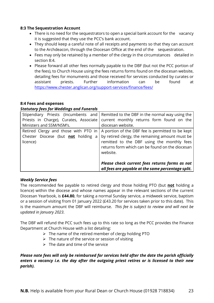## **8:3 The Sequestration Account**

- There is no need for the sequestrators to open a special bank account for the vacancy it is suggested that they use the PCC's bank account.
- They should keep a careful note of all receipts and payments so that they can account to the Archdeacon, through the Diocesan Office at the end of the sequestration.
- Fees may only be retained by a member of the clergy in the circumstances detailed in section 8:4.
- Please forward all other fees normally payable to the DBF (but not the PCC portion of the fees), to Church House using the fees returns forms found on the diocesan website, detailing fees for monuments and those received for services conducted by curates or assistant priests. Further information can be found at <https://www.chester.anglican.org/support-services/finance/fees/>

## **8:4 Fees and expenses**

## *Statutory fees for Weddings and Funerals*

| Stipendiary Priests (Incumbents and       | Remitted to the DBF in the normal way using the    |
|-------------------------------------------|----------------------------------------------------|
| Priests in Charge), Curates, Associate    | current monthly returns form found on the          |
| Ministers and SSM/NSM's.                  | diocesan website.                                  |
| Retired Clergy and those with PTO in      | A portion of the DBF fee is permitted to be kept   |
| Chester Diocese (but <b>not</b> holding a | by retired clergy, the remaining amount must be    |
| licence)                                  | remitted to the DBF using the monthly fees         |
|                                           | returns form which can be found on the diocesan    |
|                                           | website.                                           |
|                                           |                                                    |
|                                           | Please check current fees returns forms as not     |
|                                           | all fees are payable at the same percentage split. |

## *Weekly Service fees*

The recommended fee payable to retired clergy and those holding PTO (but **not** holding a licence) within the diocese and whose names appear in the relevant sections of the current Diocesan Yearbook, is **£44.80**, for taking a normal Sunday service, a midweek service, baptism or a session of visiting from 01 January 2022 (£43.20 for services taken prior to this date). This is the maximum amount the DBF will reimburse. *This fee is subject to review and will next be updated in January 2023*.

The DBF will refund the PCC such fees up to this rate so long as the PCC provides the Finance Department at Church House with a list detailing:

- ➢ The name of the retired member of clergy holding PTO
- $\triangleright$  The nature of the service or session of visiting
- $\triangleright$  The date and time of the service

*Please note fees will only be reimbursed for services held after the date the parish officially enters a vacancy i.e. the day after the outgoing priest retires or is licensed to their new parish).*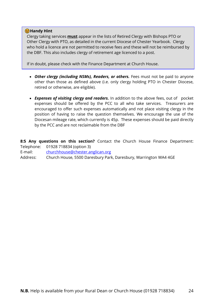## **G** Handy Hint

Clergy taking services **must** appear in the lists of Retired Clergy with Bishops PTO or Other Clergy with PTO, as detailed in the current Diocese of Chester Yearbook. Clergy who hold a licence are not permitted to receive fees and these will not be reimbursed by the DBF. This also includes clergy of retirement age licenced to a post.

If in doubt, please check with the Finance Department at Church House.

- Other clergy (including NSMs), Readers, or others. Fees must not be paid to anyone other than those as defined above (i.e. only clergy holding PTO in Chester Diocese, retired or otherwise, are eligible).
- *Expenses of visiting clergy and readers.* In addition to the above fees, out of pocket expenses should be offered by the PCC to all who take services. Treasurers are encouraged to offer such expenses automatically and not place visiting clergy in the position of having to raise the question themselves. We encourage the use of the Diocesan mileage rate, which currently is 45p. These expenses should be paid directly by the PCC and are not reclaimable from the DBF

**8:5 Any questions on this section?** Contact the Church House Finance Department: Telephone: 01928 718834 (option 3)

E-mail: [churchhouse@chester.anglican.org](mailto:churchhouse@chester.anglican.org)

Address: Church House, 5500 Daresbury Park, Daresbury, Warrington WA4 4GE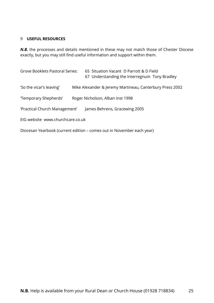## 9 **USEFUL RESOURCES**

*N.B.* the processes and details mentioned in these may not match those of Chester Diocese exactly, but you may still find useful information and support within them.

| <b>Grove Booklets Pastoral Series:</b> | 65 Situation Vacant D Parrott & D Field<br>67 Understanding the Interregnum Tony Bradley |  |  |  |
|----------------------------------------|------------------------------------------------------------------------------------------|--|--|--|
| 'So the vicar's leaving'               | Mike Alexander & Jeremy Martineau, Canterbury Press 2002                                 |  |  |  |
| 'Temporary Shepherds'                  | Roger Nicholson, Alban Inst 1998                                                         |  |  |  |
| 'Practical Church Management'          | James Behrens, Gracewing 2005                                                            |  |  |  |
| EIG website www.churchcare.co.uk       |                                                                                          |  |  |  |
|                                        | Diocesan Yearbook (current edition – comes out in November each year)                    |  |  |  |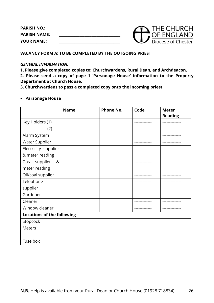**PARISH NO.: \_\_\_\_\_\_\_\_\_\_\_\_\_\_\_\_\_\_\_\_\_\_\_\_\_\_\_\_\_\_\_\_\_\_\_\_ PARISH NAME: \_\_\_\_\_\_\_\_\_\_\_\_\_\_\_\_\_\_\_\_\_\_\_\_\_\_\_\_\_\_\_\_\_\_\_\_ YOUR NAME: \_\_\_\_\_\_\_\_\_\_\_\_\_\_\_\_\_\_\_\_\_\_\_\_\_\_\_\_\_\_\_\_\_\_\_\_**



## **VACANCY FORM A: TO BE COMPLETED BY THE OUTGOING PRIEST**

#### *GENERAL INFORMATION:*

**1. Please give completed copies to: Churchwardens, Rural Dean, and Archdeacon.**

**2. Please send a copy of page 1 'Parsonage House' information to the Property Department at Church House.**

**3. Churchwardens to pass a completed copy onto the incoming priest**

#### • **Parsonage House**

|                                   | <b>Name</b> | <b>Phone No.</b> | Code          | <b>Meter</b>   |
|-----------------------------------|-------------|------------------|---------------|----------------|
|                                   |             |                  |               | <b>Reading</b> |
| Key Holders (1)                   |             |                  | ----------    |                |
| (2)                               |             |                  |               | --------       |
| Alarm System                      |             |                  |               |                |
| <b>Water Supplier</b>             |             |                  |               |                |
| Electricity supplier              |             |                  | --------      |                |
| & meter reading                   |             |                  |               |                |
| supplier<br>&<br>Gas              |             |                  | ------------- |                |
| meter reading                     |             |                  |               |                |
| Oil/coal supplier                 |             |                  |               |                |
| Telephone                         |             |                  | ---------     | ----------     |
| supplier                          |             |                  |               |                |
| Gardener                          |             |                  | --------      | .              |
| Cleaner                           |             |                  |               |                |
| Window cleaner                    |             |                  |               |                |
| <b>Locations of the following</b> |             |                  |               |                |
| Stopcock                          |             |                  |               |                |
| <b>Meters</b>                     |             |                  |               |                |
| Fuse box                          |             |                  |               |                |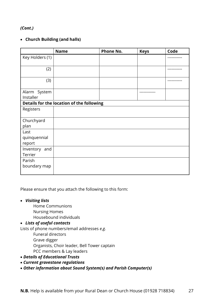# *(Cont.)*

# • **Church Building (and halls)**

|                                           | <b>Name</b> | <b>Phone No.</b> | <b>Keys</b> | Code      |  |
|-------------------------------------------|-------------|------------------|-------------|-----------|--|
| Key Holders (1)                           |             |                  |             | --------- |  |
| (2)                                       |             |                  |             | -------   |  |
| (3)                                       |             |                  |             |           |  |
| Alarm System<br>Installer                 |             |                  |             |           |  |
| Details for the location of the following |             |                  |             |           |  |
| Registers                                 |             |                  |             |           |  |
| Churchyard<br>plan                        |             |                  |             |           |  |
| Last                                      |             |                  |             |           |  |
| quinquennial<br>report                    |             |                  |             |           |  |
| Inventory and                             |             |                  |             |           |  |
| Terrier                                   |             |                  |             |           |  |
| Parish                                    |             |                  |             |           |  |
| boundary map                              |             |                  |             |           |  |

Please ensure that you attach the following to this form:

- *Visiting lists*
	- Home Communions Nursing Homes Housebound individuals

## • *Lists of useful contacts*

Lists of phone numbers/email addresses *e.g.* 

- Funeral directors Grave digger Organists, Choir leader, Bell Tower captain PCC members & Lay leaders
- *Details of Educational Trusts*
- *Current gravestone regulations*
- *Other information about Sound System(s) and Parish Computer(s)*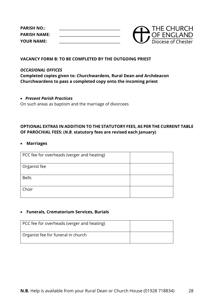**PARISH NO.: \_\_\_\_\_\_\_\_\_\_\_\_\_\_\_\_\_\_\_\_\_\_\_\_\_\_\_\_\_\_\_\_\_\_\_\_ PARISH NAME: \_\_\_\_\_\_\_\_\_\_\_\_\_\_\_\_\_\_\_\_\_\_\_\_\_\_\_\_\_\_\_\_\_\_\_\_ YOUR NAME: \_\_\_\_\_\_\_\_\_\_\_\_\_\_\_\_\_\_\_\_\_\_\_\_\_\_\_\_\_\_\_\_\_\_\_\_**



## **VACANCY FORM B: TO BE COMPLETED BY THE OUTGOING PRIEST**

## *OCCASIONAL OFFICES*

**Completed copies given to: Churchwardens, Rural Dean and Archdeacon Churchwardens to pass a completed copy onto the incoming priest**

## • *Present Parish Practices*

On such areas as baptism and the marriage of divorcees

# **OPTIONAL EXTRAS IN ADDITION TO THE STATUTORY FEES, AS PER THE CURRENT TABLE OF PAROCHIAL FEES: (***N.B.* **statutory fees are revised each January)**

#### • **Marriages**

| PCC fee for overheads (verger and heating) |  |
|--------------------------------------------|--|
|                                            |  |
| Organist fee                               |  |
|                                            |  |
| <b>Bells</b>                               |  |
|                                            |  |
| Choir                                      |  |
|                                            |  |

## • **Funerals, Crematorium Services, Burials**

| PCC fee for overheads (verger and heating) |  |
|--------------------------------------------|--|
| Organist fee for funeral in church         |  |